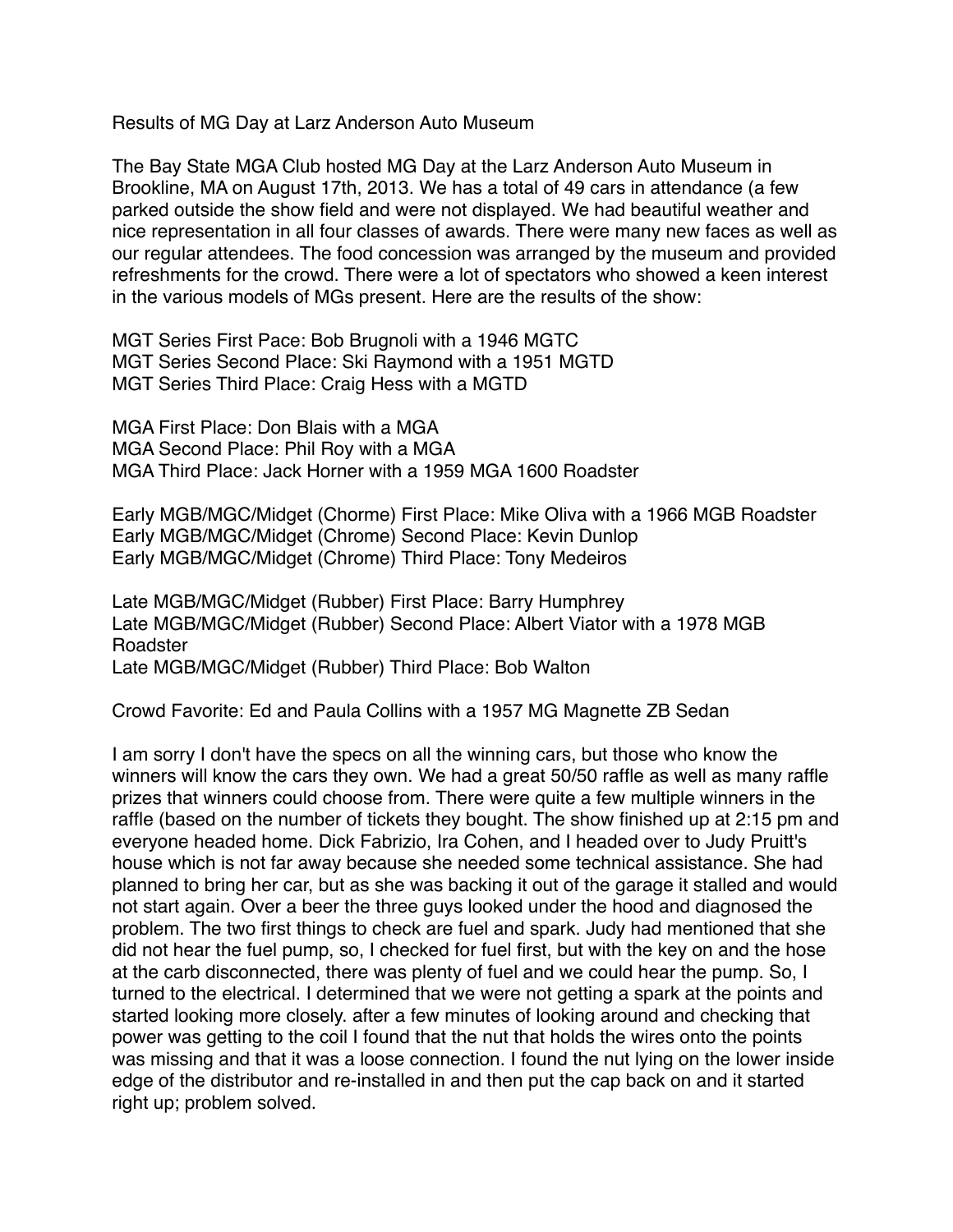Results of MG Day at Larz Anderson Auto Museum

The Bay State MGA Club hosted MG Day at the Larz Anderson Auto Museum in Brookline, MA on August 17th, 2013. We has a total of 49 cars in attendance (a few parked outside the show field and were not displayed. We had beautiful weather and nice representation in all four classes of awards. There were many new faces as well as our regular attendees. The food concession was arranged by the museum and provided refreshments for the crowd. There were a lot of spectators who showed a keen interest in the various models of MGs present. Here are the results of the show:

MGT Series First Pace: Bob Brugnoli with a 1946 MGTC MGT Series Second Place: Ski Raymond with a 1951 MGTD MGT Series Third Place: Craig Hess with a MGTD

MGA First Place: Don Blais with a MGA MGA Second Place: Phil Roy with a MGA MGA Third Place: Jack Horner with a 1959 MGA 1600 Roadster

Early MGB/MGC/Midget (Chorme) First Place: Mike Oliva with a 1966 MGB Roadster Early MGB/MGC/Midget (Chrome) Second Place: Kevin Dunlop Early MGB/MGC/Midget (Chrome) Third Place: Tony Medeiros

Late MGB/MGC/Midget (Rubber) First Place: Barry Humphrey Late MGB/MGC/Midget (Rubber) Second Place: Albert Viator with a 1978 MGB Roadster Late MGB/MGC/Midget (Rubber) Third Place: Bob Walton

Crowd Favorite: Ed and Paula Collins with a 1957 MG Magnette ZB Sedan

I am sorry I don't have the specs on all the winning cars, but those who know the winners will know the cars they own. We had a great 50/50 raffle as well as many raffle prizes that winners could choose from. There were quite a few multiple winners in the raffle (based on the number of tickets they bought. The show finished up at 2:15 pm and everyone headed home. Dick Fabrizio, Ira Cohen, and I headed over to Judy Pruitt's house which is not far away because she needed some technical assistance. She had planned to bring her car, but as she was backing it out of the garage it stalled and would not start again. Over a beer the three guys looked under the hood and diagnosed the problem. The two first things to check are fuel and spark. Judy had mentioned that she did not hear the fuel pump, so, I checked for fuel first, but with the key on and the hose at the carb disconnected, there was plenty of fuel and we could hear the pump. So, I turned to the electrical. I determined that we were not getting a spark at the points and started looking more closely. after a few minutes of looking around and checking that power was getting to the coil I found that the nut that holds the wires onto the points was missing and that it was a loose connection. I found the nut lying on the lower inside edge of the distributor and re-installed in and then put the cap back on and it started right up; problem solved.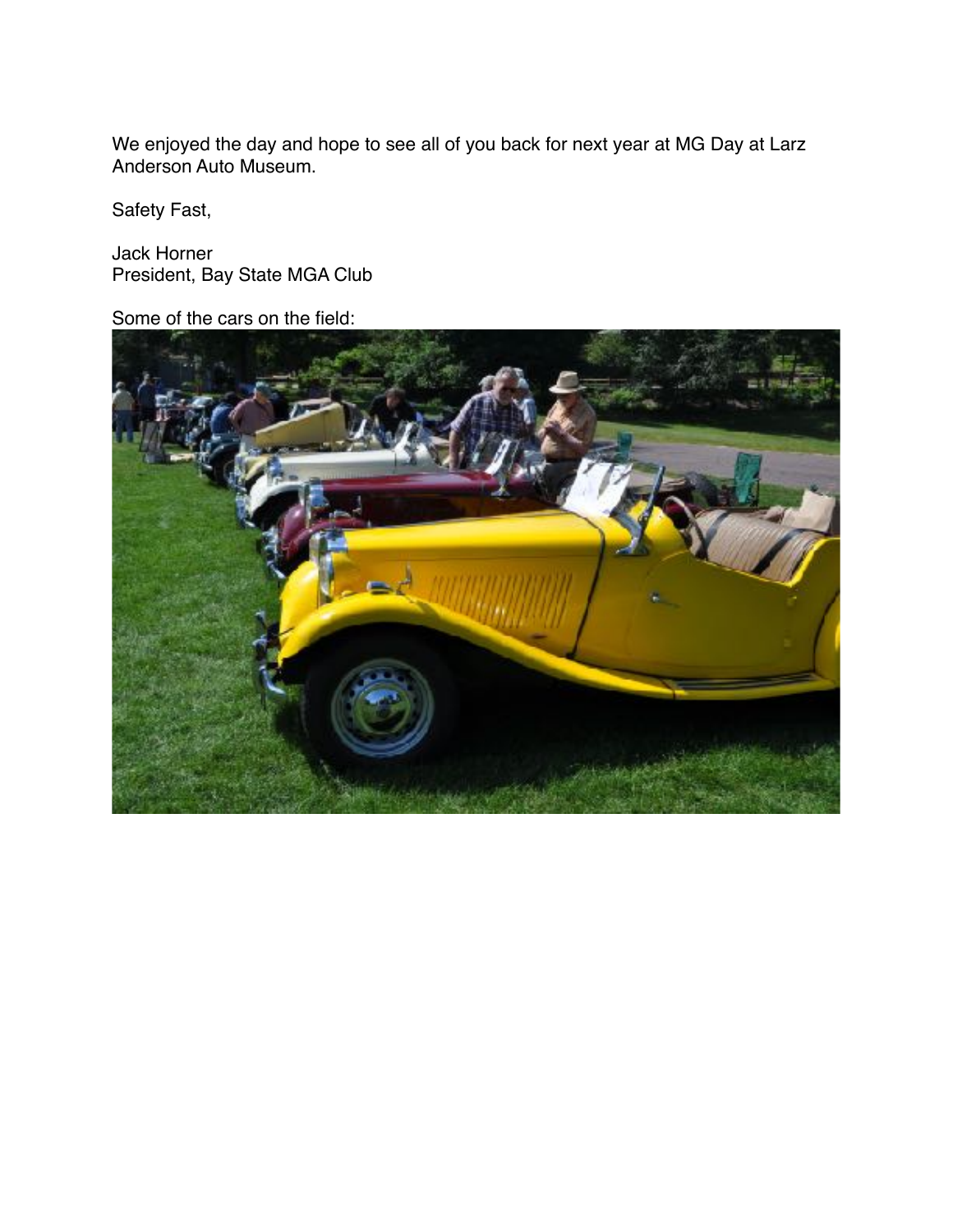We enjoyed the day and hope to see all of you back for next year at MG Day at Larz Anderson Auto Museum.

Safety Fast,

Jack Horner President, Bay State MGA Club

Some of the cars on the field: